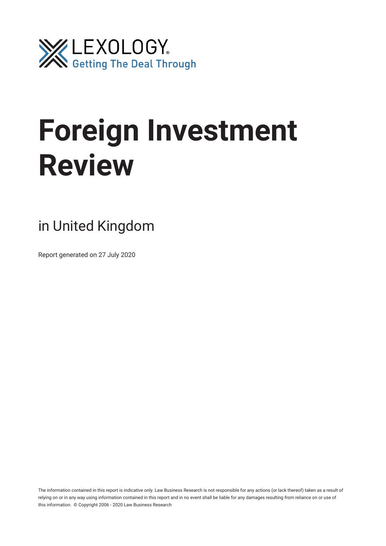

# **Foreign Investment Review**

# in United Kingdom

Report generated on 27 July 2020

The information contained in this report is indicative only. Law Business Research is not responsible for any actions (or lack thereof) taken as a result of relying on or in any way using information contained in this report and in no event shall be liable for any damages resulting from reliance on or use of this information. © Copyright 2006 - 2020 Law Business Research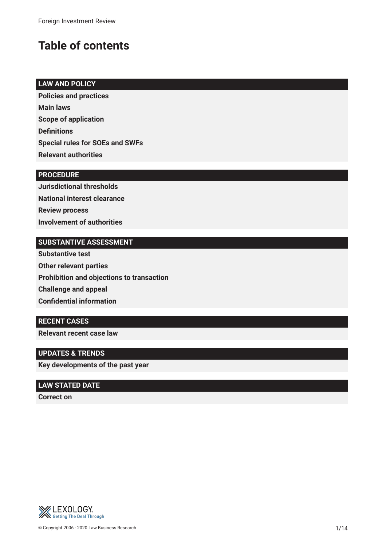# **Table of contents**

# **LAW AND POLICY**

**Policies and practices Main laws Scope of application Defnitions Special rules for SOEs and SWFs Relevant authorities**

## **PROCEDURE**

**Jurisdictional thresholds National interest clearance Review process Involvement of authorities**

# **SUBSTANTIVE ASSESSMENT**

**Substantive test Other relevant parties Prohibition and objections to transaction Challenge and appeal Confdential information**

# **RECENT CASES**

**Relevant recent case law**

# **UPDATES & TRENDS**

**Key developments of the past year**

## **LAW STATED DATE**

**Correct on**

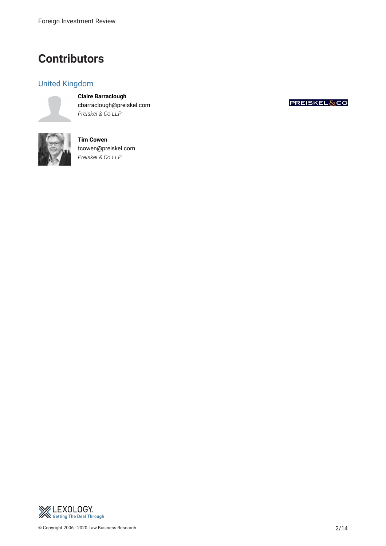# **Contributors**

# United Kingdom

**Claire Barraclough** cbarraclough@preiskel.com *Preiskel & Co LLP*



**Tim Cowen** tcowen@preiskel.com *Preiskel & Co LLP*



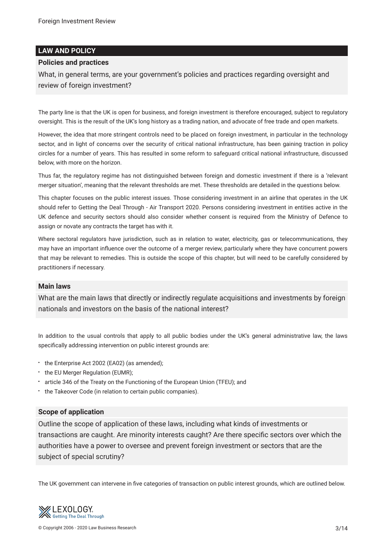#### **LAW AND POLICY**

#### **Policies and practices**

What, in general terms, are your government's policies and practices regarding oversight and review of foreign investment?

The party line is that the UK is open for business, and foreign investment is therefore encouraged, subject to regulatory oversight. This is the result of the UK's long history as a trading nation, and advocate of free trade and open markets.

However, the idea that more stringent controls need to be placed on foreign investment, in particular in the technology sector, and in light of concerns over the security of critical national infrastructure, has been gaining traction in policy circles for a number of years. This has resulted in some reform to safeguard critical national infrastructure, discussed below, with more on the horizon.

Thus far, the regulatory regime has not distinguished between foreign and domestic investment if there is a 'relevant merger situation', meaning that the relevant thresholds are met. These thresholds are detailed in the questions below.

This chapter focuses on the public interest issues. Those considering investment in an airline that operates in the UK should refer to Getting the Deal Through - Air Transport 2020. Persons considering investment in entities active in the UK defence and security sectors should also consider whether consent is required from the Ministry of Defence to assign or novate any contracts the target has with it.

Where sectoral regulators have jurisdiction, such as in relation to water, electricity, gas or telecommunications, they may have an important infuence over the outcome of a merger review, particularly where they have concurrent powers that may be relevant to remedies. This is outside the scope of this chapter, but will need to be carefully considered by practitioners if necessary.

#### **Main laws**

What are the main laws that directly or indirectly regulate acquisitions and investments by foreign nationals and investors on the basis of the national interest?

In addition to the usual controls that apply to all public bodies under the UK's general administrative law, the laws specifcally addressing intervention on public interest grounds are:

- the Enterprise Act 2002 (EA02) (as amended);
- the EU Merger Regulation (EUMR);
- article 346 of the Treaty on the Functioning of the European Union (TFEU); and
- the Takeover Code (in relation to certain public companies).

#### **Scope of application**

Outline the scope of application of these laws, including what kinds of investments or transactions are caught. Are minority interests caught? Are there specifc sectors over which the authorities have a power to oversee and prevent foreign investment or sectors that are the subject of special scrutiny?

The UK government can intervene in fve categories of transaction on public interest grounds, which are outlined below.

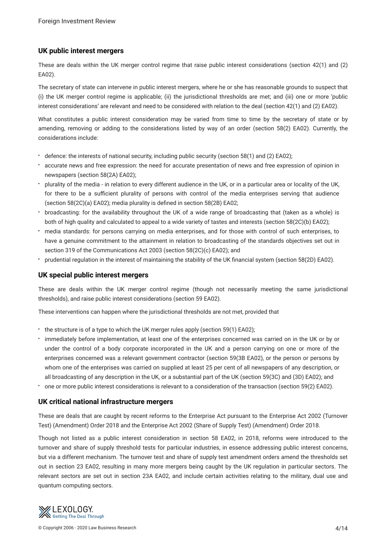#### **UK public interest mergers**

These are deals within the UK merger control regime that raise public interest considerations (section 42(1) and (2) EA02).

The secretary of state can intervene in public interest mergers, where he or she has reasonable grounds to suspect that (i) the UK merger control regime is applicable; (ii) the jurisdictional thresholds are met; and (iii) one or more 'public interest considerations' are relevant and need to be considered with relation to the deal (section 42(1) and (2) EA02).

What constitutes a public interest consideration may be varied from time to time by the secretary of state or by amending, removing or adding to the considerations listed by way of an order (section 58(2) EA02). Currently, the considerations include:

- defence: the interests of national security, including public security (section 58(1) and (2) EA02);
- accurate news and free expression: the need for accurate presentation of news and free expression of opinion in newspapers (section 58(2A) EA02);
- plurality of the media in relation to every different audience in the UK, or in a particular area or locality of the UK, for there to be a sufficient plurality of persons with control of the media enterprises serving that audience (section 58(2C)(a) EA02); media plurality is defned in section 58(2B) EA02;
- broadcasting: for the availability throughout the UK of a wide range of broadcasting that (taken as a whole) is both of high quality and calculated to appeal to a wide variety of tastes and interests (section 58(2C)(b) EA02);
- media standards: for persons carrying on media enterprises, and for those with control of such enterprises, to have a genuine commitment to the attainment in relation to broadcasting of the standards objectives set out in section 319 of the Communications Act 2003 (section 58(2C)(c) EA02); and
- prudential regulation in the interest of maintaining the stability of the UK fnancial system (section 58(2D) EA02).

#### **UK special public interest mergers**

These are deals within the UK merger control regime (though not necessarily meeting the same jurisdictional thresholds), and raise public interest considerations (section 59 EA02).

These interventions can happen where the jurisdictional thresholds are not met, provided that

- the structure is of a type to which the UK merger rules apply (section 59(1) EA02);
- immediately before implementation, at least one of the enterprises concerned was carried on in the UK or by or under the control of a body corporate incorporated in the UK and a person carrying on one or more of the enterprises concerned was a relevant government contractor (section 59(3B EA02), or the person or persons by whom one of the enterprises was carried on supplied at least 25 per cent of all newspapers of any description, or all broadcasting of any description in the UK, or a substantial part of the UK (section 59(3C) and (3D) EA02); and
- one or more public interest considerations is relevant to a consideration of the transaction (section 59(2) EA02).

#### **UK critical national infrastructure mergers**

These are deals that are caught by recent reforms to the Enterprise Act pursuant to the Enterprise Act 2002 (Turnover Test) (Amendment) Order 2018 and the Enterprise Act 2002 (Share of Supply Test) (Amendment) Order 2018.

Though not listed as a public interest consideration in section 58 EA02, in 2018, reforms were introduced to the turnover and share of supply threshold tests for particular industries, in essence addressing public interest concerns, but via a different mechanism. The turnover test and share of supply test amendment orders amend the thresholds set out in section 23 EA02, resulting in many more mergers being caught by the UK regulation in particular sectors. The relevant sectors are set out in section 23A EA02, and include certain activities relating to the military, dual use and quantum computing sectors.

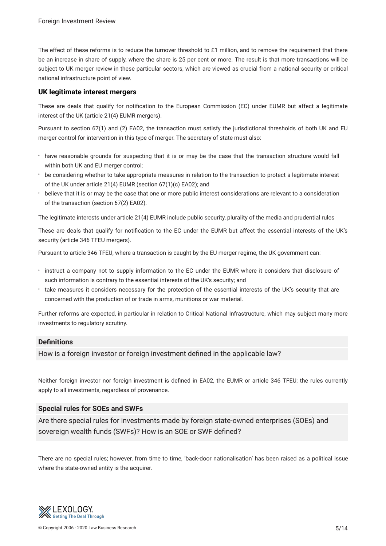The effect of these reforms is to reduce the turnover threshold to £1 million, and to remove the requirement that there be an increase in share of supply, where the share is 25 per cent or more. The result is that more transactions will be subject to UK merger review in these particular sectors, which are viewed as crucial from a national security or critical national infrastructure point of view.

#### **UK legitimate interest mergers**

These are deals that qualify for notifcation to the European Commission (EC) under EUMR but affect a legitimate interest of the UK (article 21(4) EUMR mergers).

Pursuant to section 67(1) and (2) EA02, the transaction must satisfy the jurisdictional thresholds of both UK and EU merger control for intervention in this type of merger. The secretary of state must also:

- have reasonable grounds for suspecting that it is or may be the case that the transaction structure would fall within both UK and EU merger control;
- be considering whether to take appropriate measures in relation to the transaction to protect a legitimate interest of the UK under article 21(4) EUMR (section 67(1)(c) EA02); and
- believe that it is or may be the case that one or more public interest considerations are relevant to a consideration of the transaction (section 67(2) EA02).

The legitimate interests under article 21(4) EUMR include public security, plurality of the media and prudential rules

These are deals that qualify for notifcation to the EC under the EUMR but affect the essential interests of the UK's security (article 346 TFEU mergers).

Pursuant to article 346 TFEU, where a transaction is caught by the EU merger regime, the UK government can:

- instruct a company not to supply information to the EC under the EUMR where it considers that disclosure of such information is contrary to the essential interests of the UK's security; and
- take measures it considers necessary for the protection of the essential interests of the UK's security that are concerned with the production of or trade in arms, munitions or war material.

Further reforms are expected, in particular in relation to Critical National Infrastructure, which may subject many more investments to regulatory scrutiny.

#### **Defnitions**

How is a foreign investor or foreign investment defned in the applicable law?

Neither foreign investor nor foreign investment is defned in EA02, the EUMR or article 346 TFEU; the rules currently apply to all investments, regardless of provenance.

#### **Special rules for SOEs and SWFs**

Are there special rules for investments made by foreign state-owned enterprises (SOEs) and sovereign wealth funds (SWFs)? How is an SOE or SWF defned?

There are no special rules; however, from time to time, 'back-door nationalisation' has been raised as a political issue where the state-owned entity is the acquirer.

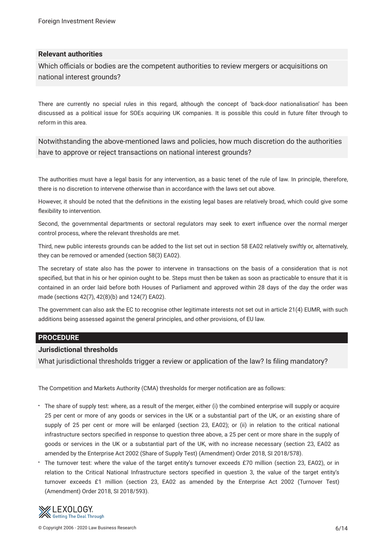#### **Relevant authorities**

Which officials or bodies are the competent authorities to review mergers or acquisitions on national interest grounds?

There are currently no special rules in this regard, although the concept of 'back-door nationalisation' has been discussed as a political issue for SOEs acquiring UK companies. It is possible this could in future flter through to reform in this area.

Notwithstanding the above-mentioned laws and policies, how much discretion do the authorities have to approve or reject transactions on national interest grounds?

The authorities must have a legal basis for any intervention, as a basic tenet of the rule of law. In principle, therefore, there is no discretion to intervene otherwise than in accordance with the laws set out above.

However, it should be noted that the defnitions in the existing legal bases are relatively broad, which could give some fexibility to intervention.

Second, the governmental departments or sectoral regulators may seek to exert infuence over the normal merger control process, where the relevant thresholds are met.

Third, new public interests grounds can be added to the list set out in section 58 EA02 relatively swiftly or, alternatively, they can be removed or amended (section 58(3) EA02).

The secretary of state also has the power to intervene in transactions on the basis of a consideration that is not specifed, but that in his or her opinion ought to be. Steps must then be taken as soon as practicable to ensure that it is contained in an order laid before both Houses of Parliament and approved within 28 days of the day the order was made (sections 42(7), 42(8)(b) and 124(7) EA02).

The government can also ask the EC to recognise other legitimate interests not set out in article 21(4) EUMR, with such additions being assessed against the general principles, and other provisions, of EU law.

#### **PROCEDURE**

#### **Jurisdictional thresholds**

What jurisdictional thresholds trigger a review or application of the law? Is fling mandatory?

The Competition and Markets Authority (CMA) thresholds for merger notifcation are as follows:

- The share of supply test: where, as a result of the merger, either (i) the combined enterprise will supply or acquire 25 per cent or more of any goods or services in the UK or a substantial part of the UK, or an existing share of supply of 25 per cent or more will be enlarged (section 23, EA02); or (ii) in relation to the critical national infrastructure sectors specifed in response to question three above, a 25 per cent or more share in the supply of goods or services in the UK or a substantial part of the UK, with no increase necessary (section 23, EA02 as amended by the Enterprise Act 2002 (Share of Supply Test) (Amendment) Order 2018, SI 2018/578).
- The turnover test: where the value of the target entity's turnover exceeds £70 million (section 23, EA02), or in relation to the Critical National Infrastructure sectors specifed in question 3, the value of the target entity's turnover exceeds £1 million (section 23, EA02 as amended by the Enterprise Act 2002 (Turnover Test) (Amendment) Order 2018, SI 2018/593).

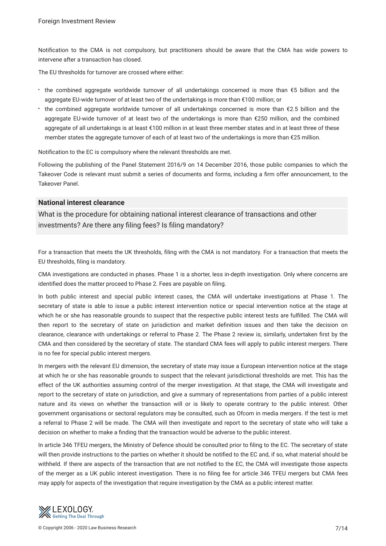Notifcation to the CMA is not compulsory, but practitioners should be aware that the CMA has wide powers to intervene after a transaction has closed.

The EU thresholds for turnover are crossed where either:

- the combined aggregate worldwide turnover of all undertakings concerned is more than €5 billion and the aggregate EU-wide turnover of at least two of the undertakings is more than €100 million; or
- the combined aggregate worldwide turnover of all undertakings concerned is more than €2.5 billion and the aggregate EU-wide turnover of at least two of the undertakings is more than €250 million, and the combined aggregate of all undertakings is at least €100 million in at least three member states and in at least three of these member states the aggregate turnover of each of at least two of the undertakings is more than €25 million.

Notifcation to the EC is compulsory where the relevant thresholds are met.

Following the publishing of the Panel Statement 2016/9 on 14 December 2016, those public companies to which the Takeover Code is relevant must submit a series of documents and forms, including a frm offer announcement, to the Takeover Panel.

#### **National interest clearance**

What is the procedure for obtaining national interest clearance of transactions and other investments? Are there any fling fees? Is fling mandatory?

For a transaction that meets the UK thresholds, fling with the CMA is not mandatory. For a transaction that meets the EU thresholds, fling is mandatory.

CMA investigations are conducted in phases. Phase 1 is a shorter, less in-depth investigation. Only where concerns are identifed does the matter proceed to Phase 2. Fees are payable on fling.

In both public interest and special public interest cases, the CMA will undertake investigations at Phase 1. The secretary of state is able to issue a public interest intervention notice or special intervention notice at the stage at which he or she has reasonable grounds to suspect that the respective public interest tests are fulflled. The CMA will then report to the secretary of state on jurisdiction and market defnition issues and then take the decision on clearance, clearance with undertakings or referral to Phase 2. The Phase 2 review is, similarly, undertaken frst by the CMA and then considered by the secretary of state. The standard CMA fees will apply to public interest mergers. There is no fee for special public interest mergers.

In mergers with the relevant EU dimension, the secretary of state may issue a European intervention notice at the stage at which he or she has reasonable grounds to suspect that the relevant jurisdictional thresholds are met. This has the effect of the UK authorities assuming control of the merger investigation. At that stage, the CMA will investigate and report to the secretary of state on jurisdiction, and give a summary of representations from parties of a public interest nature and its views on whether the transaction will or is likely to operate contrary to the public interest. Other government organisations or sectoral regulators may be consulted, such as Ofcom in media mergers. If the test is met a referral to Phase 2 will be made. The CMA will then investigate and report to the secretary of state who will take a decision on whether to make a fnding that the transaction would be adverse to the public interest.

In article 346 TFEU mergers, the Ministry of Defence should be consulted prior to fling to the EC. The secretary of state will then provide instructions to the parties on whether it should be notifed to the EC and, if so, what material should be withheld. If there are aspects of the transaction that are not notifed to the EC, the CMA will investigate those aspects of the merger as a UK public interest investigation. There is no fling fee for article 346 TFEU mergers but CMA fees may apply for aspects of the investigation that require investigation by the CMA as a public interest matter.

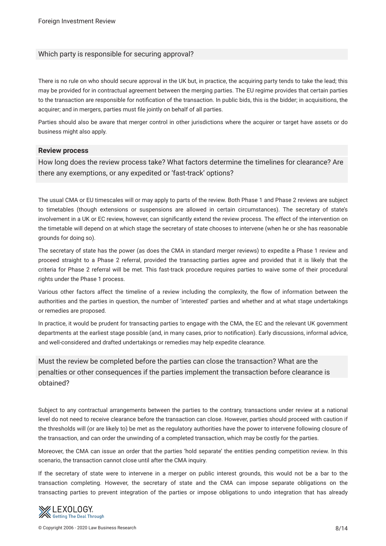#### Which party is responsible for securing approval?

There is no rule on who should secure approval in the UK but, in practice, the acquiring party tends to take the lead; this may be provided for in contractual agreement between the merging parties. The EU regime provides that certain parties to the transaction are responsible for notifcation of the transaction. In public bids, this is the bidder; in acquisitions, the acquirer; and in mergers, parties must fle jointly on behalf of all parties.

Parties should also be aware that merger control in other jurisdictions where the acquirer or target have assets or do business might also apply.

#### **Review process**

How long does the review process take? What factors determine the timelines for clearance? Are there any exemptions, or any expedited or 'fast-track' options?

The usual CMA or EU timescales will or may apply to parts of the review. Both Phase 1 and Phase 2 reviews are subject to timetables (though extensions or suspensions are allowed in certain circumstances). The secretary of state's involvement in a UK or EC review, however, can signifcantly extend the review process. The effect of the intervention on the timetable will depend on at which stage the secretary of state chooses to intervene (when he or she has reasonable grounds for doing so).

The secretary of state has the power (as does the CMA in standard merger reviews) to expedite a Phase 1 review and proceed straight to a Phase 2 referral, provided the transacting parties agree and provided that it is likely that the criteria for Phase 2 referral will be met. This fast-track procedure requires parties to waive some of their procedural rights under the Phase 1 process.

Various other factors affect the timeline of a review including the complexity, the fow of information between the authorities and the parties in question, the number of 'interested' parties and whether and at what stage undertakings or remedies are proposed.

In practice, it would be prudent for transacting parties to engage with the CMA, the EC and the relevant UK government departments at the earliest stage possible (and, in many cases, prior to notifcation). Early discussions, informal advice, and well-considered and drafted undertakings or remedies may help expedite clearance.

# Must the review be completed before the parties can close the transaction? What are the penalties or other consequences if the parties implement the transaction before clearance is obtained?

Subject to any contractual arrangements between the parties to the contrary, transactions under review at a national level do not need to receive clearance before the transaction can close. However, parties should proceed with caution if the thresholds will (or are likely to) be met as the regulatory authorities have the power to intervene following closure of the transaction, and can order the unwinding of a completed transaction, which may be costly for the parties.

Moreover, the CMA can issue an order that the parties 'hold separate' the entities pending competition review. In this scenario, the transaction cannot close until after the CMA inquiry.

If the secretary of state were to intervene in a merger on public interest grounds, this would not be a bar to the transaction completing. However, the secretary of state and the CMA can impose separate obligations on the transacting parties to prevent integration of the parties or impose obligations to undo integration that has already

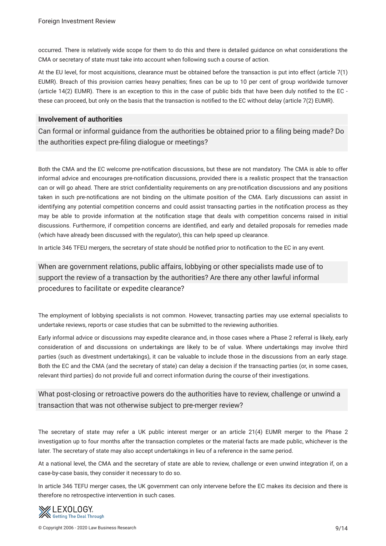occurred. There is relatively wide scope for them to do this and there is detailed guidance on what considerations the CMA or secretary of state must take into account when following such a course of action.

At the EU level, for most acquisitions, clearance must be obtained before the transaction is put into effect (article 7(1) EUMR). Breach of this provision carries heavy penalties; fnes can be up to 10 per cent of group worldwide turnover (article 14(2) EUMR). There is an exception to this in the case of public bids that have been duly notifed to the EC these can proceed, but only on the basis that the transaction is notifed to the EC without delay (article 7(2) EUMR).

#### **Involvement of authorities**

Can formal or informal guidance from the authorities be obtained prior to a fling being made? Do the authorities expect pre-fling dialogue or meetings?

Both the CMA and the EC welcome pre-notifcation discussions, but these are not mandatory. The CMA is able to offer informal advice and encourages pre-notifcation discussions, provided there is a realistic prospect that the transaction can or will go ahead. There are strict confdentiality requirements on any pre-notifcation discussions and any positions taken in such pre-notifcations are not binding on the ultimate position of the CMA. Early discussions can assist in identifying any potential competition concerns and could assist transacting parties in the notifcation process as they may be able to provide information at the notifcation stage that deals with competition concerns raised in initial discussions. Furthermore, if competition concerns are identifed, and early and detailed proposals for remedies made (which have already been discussed with the regulator), this can help speed up clearance.

In article 346 TFEU mergers, the secretary of state should be notifed prior to notifcation to the EC in any event.

When are government relations, public affairs, lobbying or other specialists made use of to support the review of a transaction by the authorities? Are there any other lawful informal procedures to facilitate or expedite clearance?

The employment of lobbying specialists is not common. However, transacting parties may use external specialists to undertake reviews, reports or case studies that can be submitted to the reviewing authorities.

Early informal advice or discussions may expedite clearance and, in those cases where a Phase 2 referral is likely, early consideration of and discussions on undertakings are likely to be of value. Where undertakings may involve third parties (such as divestment undertakings), it can be valuable to include those in the discussions from an early stage. Both the EC and the CMA (and the secretary of state) can delay a decision if the transacting parties (or, in some cases, relevant third parties) do not provide full and correct information during the course of their investigations.

# What post-closing or retroactive powers do the authorities have to review, challenge or unwind a transaction that was not otherwise subject to pre-merger review?

The secretary of state may refer a UK public interest merger or an article 21(4) EUMR merger to the Phase 2 investigation up to four months after the transaction completes or the material facts are made public, whichever is the later. The secretary of state may also accept undertakings in lieu of a reference in the same period.

At a national level, the CMA and the secretary of state are able to review, challenge or even unwind integration if, on a case-by-case basis, they consider it necessary to do so.

In article 346 TEFU merger cases, the UK government can only intervene before the EC makes its decision and there is therefore no retrospective intervention in such cases.

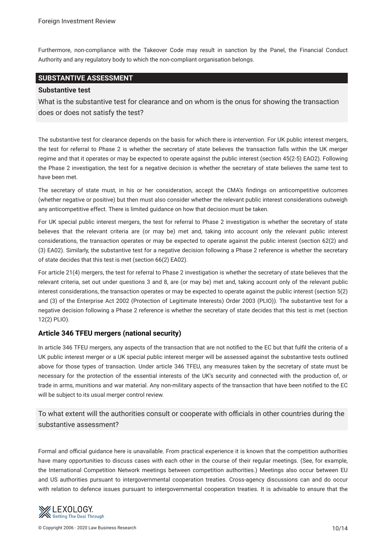Furthermore, non-compliance with the Takeover Code may result in sanction by the Panel, the Financial Conduct Authority and any regulatory body to which the non-compliant organisation belongs.

### **SUBSTANTIVE ASSESSMENT**

#### **Substantive test**

What is the substantive test for clearance and on whom is the onus for showing the transaction does or does not satisfy the test?

The substantive test for clearance depends on the basis for which there is intervention. For UK public interest mergers, the test for referral to Phase 2 is whether the secretary of state believes the transaction falls within the UK merger regime and that it operates or may be expected to operate against the public interest (section 45(2-5) EAO2). Following the Phase 2 investigation, the test for a negative decision is whether the secretary of state believes the same test to have been met.

The secretary of state must, in his or her consideration, accept the CMA's fndings on anticompetitive outcomes (whether negative or positive) but then must also consider whether the relevant public interest considerations outweigh any anticompetitive effect. There is limited guidance on how that decision must be taken.

For UK special public interest mergers, the test for referral to Phase 2 investigation is whether the secretary of state believes that the relevant criteria are (or may be) met and, taking into account only the relevant public interest considerations, the transaction operates or may be expected to operate against the public interest (section 62(2) and (3) EA02). Similarly, the substantive test for a negative decision following a Phase 2 reference is whether the secretary of state decides that this test is met (section 66(2) EA02).

For article 21(4) mergers, the test for referral to Phase 2 investigation is whether the secretary of state believes that the relevant criteria, set out under questions 3 and 8, are (or may be) met and, taking account only of the relevant public interest considerations, the transaction operates or may be expected to operate against the public interest (section 5(2) and (3) of the Enterprise Act 2002 (Protection of Legitimate Interests) Order 2003 (PLIO)). The substantive test for a negative decision following a Phase 2 reference is whether the secretary of state decides that this test is met (section 12(2) PLIO).

#### **Article 346 TFEU mergers (national security)**

In article 346 TFEU mergers, any aspects of the transaction that are not notifed to the EC but that fulfl the criteria of a UK public interest merger or a UK special public interest merger will be assessed against the substantive tests outlined above for those types of transaction. Under article 346 TFEU, any measures taken by the secretary of state must be necessary for the protection of the essential interests of the UK's security and connected with the production of, or trade in arms, munitions and war material. Any non-military aspects of the transaction that have been notifed to the EC will be subject to its usual merger control review.

To what extent will the authorities consult or cooperate with officials in other countries during the substantive assessment?

Formal and official guidance here is unavailable. From practical experience it is known that the competition authorities have many opportunities to discuss cases with each other in the course of their regular meetings. (See, for example, the International Competition Network meetings between competition authorities.) Meetings also occur between EU and US authorities pursuant to intergovernmental cooperation treaties. Cross-agency discussions can and do occur with relation to defence issues pursuant to intergovernmental cooperation treaties. It is advisable to ensure that the

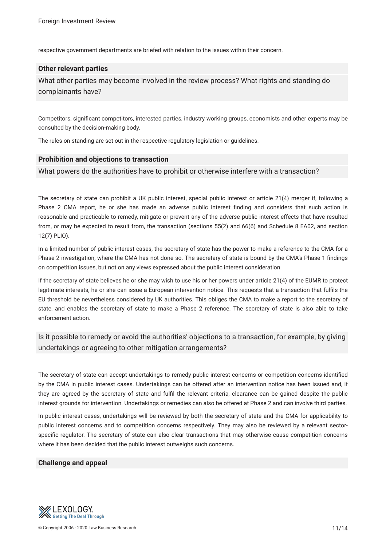respective government departments are briefed with relation to the issues within their concern.

#### **Other relevant parties**

What other parties may become involved in the review process? What rights and standing do complainants have?

Competitors, signifcant competitors, interested parties, industry working groups, economists and other experts may be consulted by the decision-making body.

The rules on standing are set out in the respective regulatory legislation or guidelines.

#### **Prohibition and objections to transaction**

What powers do the authorities have to prohibit or otherwise interfere with a transaction?

The secretary of state can prohibit a UK public interest, special public interest or article 21(4) merger if, following a Phase 2 CMA report, he or she has made an adverse public interest fnding and considers that such action is reasonable and practicable to remedy, mitigate or prevent any of the adverse public interest effects that have resulted from, or may be expected to result from, the transaction (sections 55(2) and 66(6) and Schedule 8 EA02, and section 12(7) PLIO).

In a limited number of public interest cases, the secretary of state has the power to make a reference to the CMA for a Phase 2 investigation, where the CMA has not done so. The secretary of state is bound by the CMA's Phase 1 fndings on competition issues, but not on any views expressed about the public interest consideration.

If the secretary of state believes he or she may wish to use his or her powers under article 21(4) of the EUMR to protect legitimate interests, he or she can issue a European intervention notice. This requests that a transaction that fulfls the EU threshold be nevertheless considered by UK authorities. This obliges the CMA to make a report to the secretary of state, and enables the secretary of state to make a Phase 2 reference. The secretary of state is also able to take enforcement action.

Is it possible to remedy or avoid the authorities' objections to a transaction, for example, by giving undertakings or agreeing to other mitigation arrangements?

The secretary of state can accept undertakings to remedy public interest concerns or competition concerns identifed by the CMA in public interest cases. Undertakings can be offered after an intervention notice has been issued and, if they are agreed by the secretary of state and fulfl the relevant criteria, clearance can be gained despite the public interest grounds for intervention. Undertakings or remedies can also be offered at Phase 2 and can involve third parties.

In public interest cases, undertakings will be reviewed by both the secretary of state and the CMA for applicability to public interest concerns and to competition concerns respectively. They may also be reviewed by a relevant sectorspecifc regulator. The secretary of state can also clear transactions that may otherwise cause competition concerns where it has been decided that the public interest outweighs such concerns.

#### **Challenge and appeal**

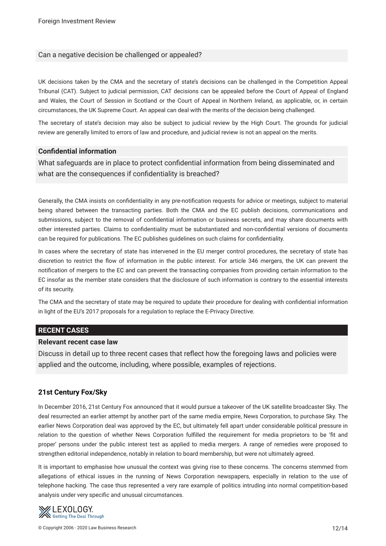#### Can a negative decision be challenged or appealed?

UK decisions taken by the CMA and the secretary of state's decisions can be challenged in the Competition Appeal Tribunal (CAT). Subject to judicial permission, CAT decisions can be appealed before the Court of Appeal of England and Wales, the Court of Session in Scotland or the Court of Appeal in Northern Ireland, as applicable, or, in certain circumstances, the UK Supreme Court. An appeal can deal with the merits of the decision being challenged.

The secretary of state's decision may also be subject to judicial review by the High Court. The grounds for judicial review are generally limited to errors of law and procedure, and judicial review is not an appeal on the merits.

#### **Confdential information**

What safeguards are in place to protect confdential information from being disseminated and what are the consequences if confidentiality is breached?

Generally, the CMA insists on confdentiality in any pre-notifcation requests for advice or meetings, subject to material being shared between the transacting parties. Both the CMA and the EC publish decisions, communications and submissions, subject to the removal of confdential information or business secrets, and may share documents with other interested parties. Claims to confdentiality must be substantiated and non-confdential versions of documents can be required for publications. The EC publishes guidelines on such claims for confdentiality.

In cases where the secretary of state has intervened in the EU merger control procedures, the secretary of state has discretion to restrict the fow of information in the public interest. For article 346 mergers, the UK can prevent the notifcation of mergers to the EC and can prevent the transacting companies from providing certain information to the EC insofar as the member state considers that the disclosure of such information is contrary to the essential interests of its security.

The CMA and the secretary of state may be required to update their procedure for dealing with confdential information in light of the EU's 2017 proposals for a regulation to replace the E-Privacy Directive.

#### **RECENT CASES**

#### **Relevant recent case law**

Discuss in detail up to three recent cases that refect how the foregoing laws and policies were applied and the outcome, including, where possible, examples of rejections.

#### **21st Century Fox/Sky**

In December 2016, 21st Century Fox announced that it would pursue a takeover of the UK satellite broadcaster Sky. The deal resurrected an earlier attempt by another part of the same media empire, News Corporation, to purchase Sky. The earlier News Corporation deal was approved by the EC, but ultimately fell apart under considerable political pressure in relation to the question of whether News Corporation fulflled the requirement for media proprietors to be 'ft and proper' persons under the public interest test as applied to media mergers. A range of remedies were proposed to strengthen editorial independence, notably in relation to board membership, but were not ultimately agreed.

It is important to emphasise how unusual the context was giving rise to these concerns. The concerns stemmed from allegations of ethical issues in the running of News Corporation newspapers, especially in relation to the use of telephone hacking. The case thus represented a very rare example of politics intruding into normal competition-based analysis under very specifc and unusual circumstances.

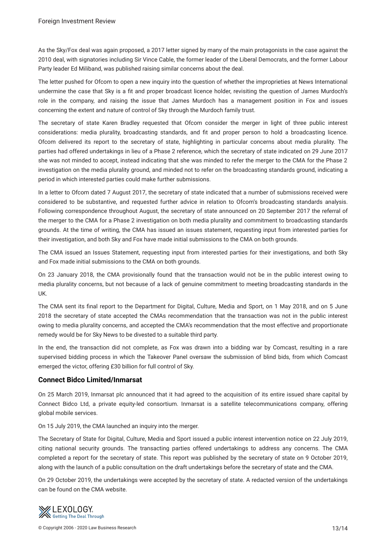As the Sky/Fox deal was again proposed, a 2017 letter signed by many of the main protagonists in the case against the 2010 deal, with signatories including Sir Vince Cable, the former leader of the Liberal Democrats, and the former Labour Party leader Ed Miliband, was published raising similar concerns about the deal.

The letter pushed for Ofcom to open a new inquiry into the question of whether the improprieties at News International undermine the case that Sky is a ft and proper broadcast licence holder, revisiting the question of James Murdoch's role in the company, and raising the issue that James Murdoch has a management position in Fox and issues concerning the extent and nature of control of Sky through the Murdoch family trust.

The secretary of state Karen Bradley requested that Ofcom consider the merger in light of three public interest considerations: media plurality, broadcasting standards, and ft and proper person to hold a broadcasting licence. Ofcom delivered its report to the secretary of state, highlighting in particular concerns about media plurality. The parties had offered undertakings in lieu of a Phase 2 reference, which the secretary of state indicated on 29 June 2017 she was not minded to accept, instead indicating that she was minded to refer the merger to the CMA for the Phase 2 investigation on the media plurality ground, and minded not to refer on the broadcasting standards ground, indicating a period in which interested parties could make further submissions.

In a letter to Ofcom dated 7 August 2017, the secretary of state indicated that a number of submissions received were considered to be substantive, and requested further advice in relation to Ofcom's broadcasting standards analysis. Following correspondence throughout August, the secretary of state announced on 20 September 2017 the referral of the merger to the CMA for a Phase 2 investigation on both media plurality and commitment to broadcasting standards grounds. At the time of writing, the CMA has issued an issues statement, requesting input from interested parties for their investigation, and both Sky and Fox have made initial submissions to the CMA on both grounds.

The CMA issued an Issues Statement, requesting input from interested parties for their investigations, and both Sky and Fox made initial submissions to the CMA on both grounds.

On 23 January 2018, the CMA provisionally found that the transaction would not be in the public interest owing to media plurality concerns, but not because of a lack of genuine commitment to meeting broadcasting standards in the UK.

The CMA sent its fnal report to the Department for Digital, Culture, Media and Sport, on 1 May 2018, and on 5 June 2018 the secretary of state accepted the CMAs recommendation that the transaction was not in the public interest owing to media plurality concerns, and accepted the CMA's recommendation that the most effective and proportionate remedy would be for Sky News to be divested to a suitable third party.

In the end, the transaction did not complete, as Fox was drawn into a bidding war by Comcast, resulting in a rare supervised bidding process in which the Takeover Panel oversaw the submission of blind bids, from which Comcast emerged the victor, offering £30 billion for full control of Sky.

#### **Connect Bidco Limited/Inmarsat**

On 25 March 2019, Inmarsat plc announced that it had agreed to the acquisition of its entire issued share capital by Connect Bidco Ltd, a private equity-led consortium. Inmarsat is a satellite telecommunications company, offering global mobile services.

On 15 July 2019, the CMA launched an inquiry into the merger.

The Secretary of State for Digital, Culture, Media and Sport issued a public interest intervention notice on 22 July 2019, citing national security grounds. The transacting parties offered undertakings to address any concerns. The CMA completed a report for the secretary of state. This report was published by the secretary of state on 9 October 2019, along with the launch of a public consultation on the draft undertakings before the secretary of state and the CMA.

On 29 October 2019, the undertakings were accepted by the secretary of state. A redacted version of the undertakings can be found on the CMA website.